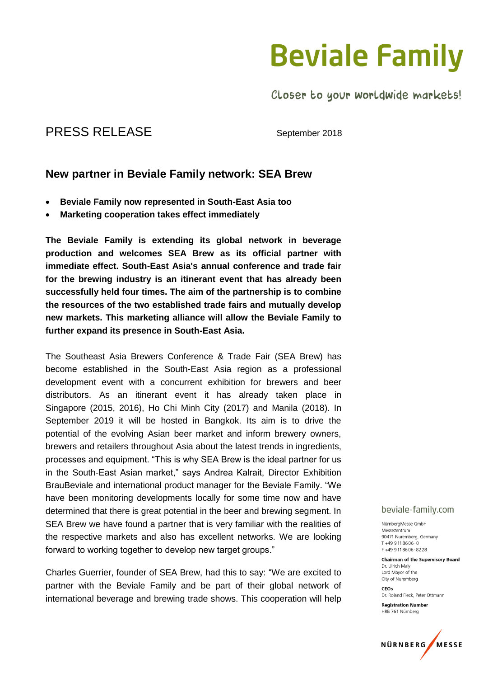### **Beviale Family**

Closer to your worldwide markets!

### PRESS RELEASE September 2018

### **New partner in Beviale Family network: SEA Brew**

- **Beviale Family now represented in South-East Asia too**
- **Marketing cooperation takes effect immediately**

**The Beviale Family is extending its global network in beverage production and welcomes SEA Brew as its official partner with immediate effect. South-East Asia's annual conference and trade fair for the brewing industry is an itinerant event that has already been successfully held four times. The aim of the partnership is to combine the resources of the two established trade fairs and mutually develop new markets. This marketing alliance will allow the Beviale Family to further expand its presence in South-East Asia.** 

The Southeast Asia Brewers Conference & Trade Fair (SEA Brew) has become established in the South-East Asia region as a professional development event with a concurrent exhibition for brewers and beer distributors. As an itinerant event it has already taken place in Singapore (2015, 2016), Ho Chi Minh City (2017) and Manila (2018). In September 2019 it will be hosted in Bangkok. Its aim is to drive the potential of the evolving Asian beer market and inform brewery owners, brewers and retailers throughout Asia about the latest trends in ingredients, processes and equipment. "This is why SEA Brew is the ideal partner for us in the South-East Asian market," says Andrea Kalrait, Director Exhibition BrauBeviale and international product manager for the Beviale Family. "We have been monitoring developments locally for some time now and have determined that there is great potential in the beer and brewing segment. In SEA Brew we have found a partner that is very familiar with the realities of the respective markets and also has excellent networks. We are looking forward to working together to develop new target groups."

Charles Guerrier, founder of SEA Brew, had this to say: "We are excited to partner with the Beviale Family and be part of their global network of international beverage and brewing trade shows. This cooperation will help

#### beviale-family.com

NürnbergMesse GmbH Messezentrum 90471 Nuremberg Germany  $T + 499118606 - 0$ F+499118606-8228

Chairman of the Supervisory Board Dr. Ulrich Malv Lord Mayor of the City of Nuremberg

 $CFOS$ Dr. Roland Fleck, Peter Ottmann

**Registration Number** HRB 761 Nürnberg

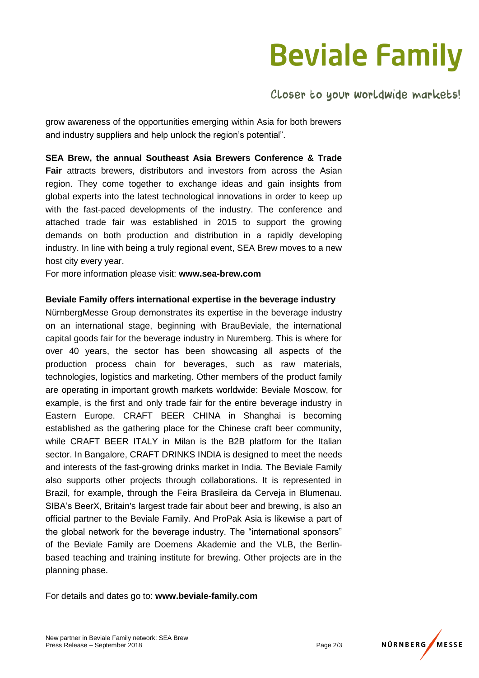# **Beviale Family**

Closer to your worldwide markets!

grow awareness of the opportunities emerging within Asia for both brewers and industry suppliers and help unlock the region's potential".

**SEA Brew, the annual Southeast Asia Brewers Conference & Trade Fair** attracts brewers, distributors and investors from across the Asian region. They come together to exchange ideas and gain insights from global experts into the latest technological innovations in order to keep up with the fast-paced developments of the industry. The conference and attached trade fair was established in 2015 to support the growing demands on both production and distribution in a rapidly developing industry. In line with being a truly regional event, SEA Brew moves to a new host city every year.

For more information please visit: **www.sea-brew.com**

#### **Beviale Family offers international expertise in the beverage industry**

NürnbergMesse Group demonstrates its expertise in the beverage industry on an international stage, beginning with BrauBeviale, the international capital goods fair for the beverage industry in Nuremberg. This is where for over 40 years, the sector has been showcasing all aspects of the production process chain for beverages, such as raw materials, technologies, logistics and marketing. Other members of the product family are operating in important growth markets worldwide: Beviale Moscow, for example, is the first and only trade fair for the entire beverage industry in Eastern Europe. CRAFT BEER CHINA in Shanghai is becoming established as the gathering place for the Chinese craft beer community, while CRAFT BEER ITALY in Milan is the B2B platform for the Italian sector. In Bangalore, CRAFT DRINKS INDIA is designed to meet the needs and interests of the fast-growing drinks market in India. The Beviale Family also supports other projects through collaborations. It is represented in Brazil, for example, through the Feira Brasileira da Cerveja in Blumenau. SIBA's BeerX, Britain's largest trade fair about beer and brewing, is also an official partner to the Beviale Family. And ProPak Asia is likewise a part of the global network for the beverage industry. The "international sponsors" of the Beviale Family are Doemens Akademie and the VLB, the Berlinbased teaching and training institute for brewing. Other projects are in the planning phase.

For details and dates go to: **www.beviale-family.com**